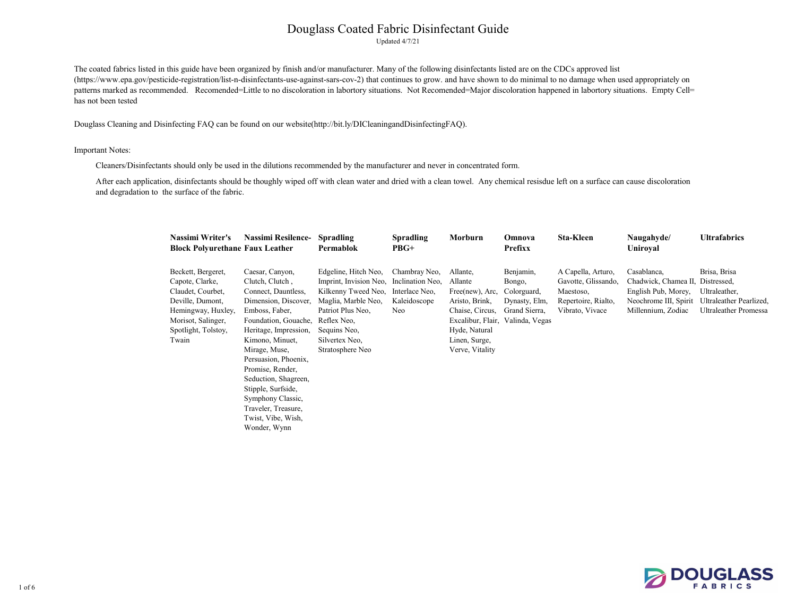Updated 4/7/21

#### Important Notes:

#### **Naugahyde**/ **Uniroyal**

#### **Ultrafabrics**

| <b>Nassimi Writer's</b><br><b>Block Polyurethane Faux Leather</b>                                                                                          | <b>Nassimi Resilence-</b>                                                                                                                                                                                                                                                                                                                                            | <b>Spradling</b><br>Permablok                                                                                                                                                          | <b>Spradling</b><br>$PBG+$                                                 | Morburn                                                                                                                                                              | Omnova<br><b>Prefixx</b>                                             | <b>Sta-Kleen</b>                                                                                 |  |
|------------------------------------------------------------------------------------------------------------------------------------------------------------|----------------------------------------------------------------------------------------------------------------------------------------------------------------------------------------------------------------------------------------------------------------------------------------------------------------------------------------------------------------------|----------------------------------------------------------------------------------------------------------------------------------------------------------------------------------------|----------------------------------------------------------------------------|----------------------------------------------------------------------------------------------------------------------------------------------------------------------|----------------------------------------------------------------------|--------------------------------------------------------------------------------------------------|--|
| Beckett, Bergeret,<br>Capote, Clarke,<br>Claudet, Courbet,<br>Deville, Dumont,<br>Hemingway, Huxley,<br>Morisot, Salinger,<br>Spotlight, Tolstoy,<br>Twain | Caesar, Canyon,<br>Clutch, Clutch,<br>Connect, Dauntless,<br>Dimension, Discover,<br>Emboss, Faber,<br>Foundation, Gouache,<br>Heritage, Impression,<br>Kimono, Minuet,<br>Mirage, Muse,<br>Persuasion, Phoenix,<br>Promise, Render,<br>Seduction, Shagreen,<br>Stipple, Surfside,<br>Symphony Classic,<br>Traveler, Treasure,<br>Twist, Vibe, Wish,<br>Wonder, Wynn | Edgeline, Hitch Neo,<br>Imprint, Invision Neo,<br>Kilkenny Tweed Neo,<br>Maglia, Marble Neo,<br>Patriot Plus Neo,<br>Reflex Neo.<br>Sequins Neo,<br>Silvertex Neo,<br>Stratosphere Neo | Chambray Neo,<br>Inclination Neo,<br>Interlace Neo,<br>Kaleidoscope<br>Neo | Allante,<br>Allante<br>Free(new), Arc,<br>Aristo, Brink,<br>Chaise, Circus,<br>Excalibur, Flair, Valinda, Vegas<br>Hyde, Natural<br>Linen, Surge,<br>Verve, Vitality | Benjamin,<br>Bongo,<br>Colorguard,<br>Dynasty, Elm,<br>Grand Sierra, | A Capella, Arturo,<br>Gavotte, Glissando,<br>Maestoso,<br>Repertoire, Rialto,<br>Vibrato, Vivace |  |

Neochrome III, Spirit Ultraleather Pearlized, Brisa, Brisa



Casablanca, Chadwick, Chamea II, Distressed, English Pub, Morey, Ultraleather, Millennium, Zodiac Ultraleather Promessa

The coated fabrics listed in this guide have been organized by finish and/or manufacturer. Many of the following disinfectants listed are on the CDCs approved list (https://www.epa.gov/pesticide-registration/list-n-disinfectants-use-against-sars-cov-2) that continues to grow. and have shown to do minimal to no damage when used appropriately on patterns marked as recommended. Recomended=Little to no discoloration in labortory situations. Not Recomended=Major discoloration happened in labortory situations. Empty Cell= has not been tested

Cleaners/Disinfectants should only be used in the dilutions recommended by the manufacturer and never in concentrated form.

After each application, disinfectants should be thoughly wiped off with clean water and dried with a clean towel. Any chemical resisdue left on a surface can cause discoloration and degradation to the surface of the fabric.

Douglass Cleaning and Disinfecting FAQ can be found on our website(http://bit.ly/DICleaningandDisinfectingFAQ).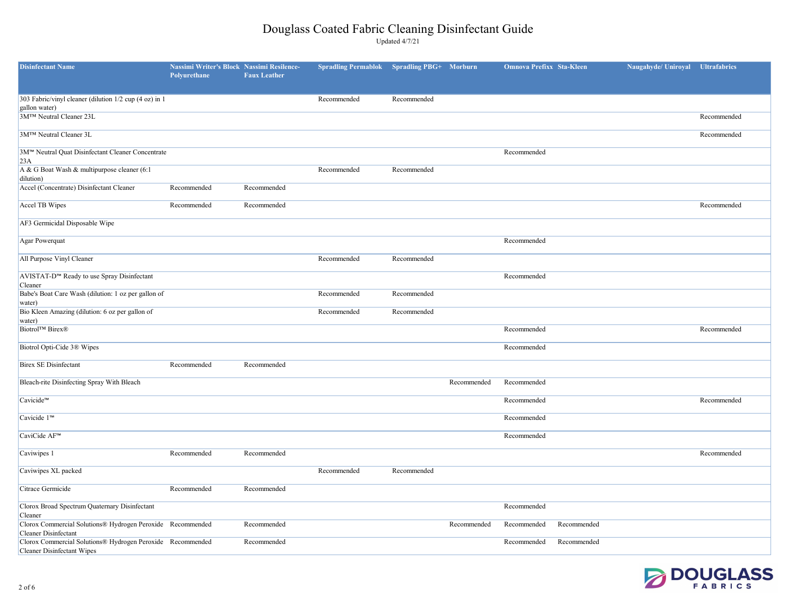| <b>Disinfectant Name</b>                                                                        | Nassimi Writer's Block Nassimi Resilence-<br>Polyurethane | <b>Faux Leather</b> | <b>Spradling Permablok</b> | <b>Spradling PBG+</b> Morburn |             | <b>Omnova Prefixx Sta-Kleen</b> |             | Naugahyde/ Uniroyal | <b>Ultrafabrics</b> |
|-------------------------------------------------------------------------------------------------|-----------------------------------------------------------|---------------------|----------------------------|-------------------------------|-------------|---------------------------------|-------------|---------------------|---------------------|
| 303 Fabric/vinyl cleaner (dilution 1/2 cup (4 oz) in 1                                          |                                                           |                     | Recommended                | Recommended                   |             |                                 |             |                     |                     |
| gallon water)<br>3MTM Neutral Cleaner 23L                                                       |                                                           |                     |                            |                               |             |                                 |             |                     | Recommended         |
| 3M™ Neutral Cleaner 3L                                                                          |                                                           |                     |                            |                               |             |                                 |             |                     | Recommended         |
| 3M™ Neutral Quat Disinfectant Cleaner Concentrate<br>23A                                        |                                                           |                     |                            |                               |             | Recommended                     |             |                     |                     |
| A & G Boat Wash & multipurpose cleaner (6:1)<br>dilution)                                       |                                                           |                     | Recommended                | Recommended                   |             |                                 |             |                     |                     |
| Accel (Concentrate) Disinfectant Cleaner                                                        | Recommended                                               | Recommended         |                            |                               |             |                                 |             |                     |                     |
| Accel TB Wipes                                                                                  | Recommended                                               | Recommended         |                            |                               |             |                                 |             |                     | Recommended         |
| AF3 Germicidal Disposable Wipe                                                                  |                                                           |                     |                            |                               |             |                                 |             |                     |                     |
| Agar Powerquat                                                                                  |                                                           |                     |                            |                               |             | Recommended                     |             |                     |                     |
| All Purpose Vinyl Cleaner                                                                       |                                                           |                     | Recommended                | Recommended                   |             |                                 |             |                     |                     |
| AVISTAT-D™ Ready to use Spray Disinfectant<br>Cleaner                                           |                                                           |                     |                            |                               |             | Recommended                     |             |                     |                     |
| Babe's Boat Care Wash (dilution: 1 oz per gallon of<br>water)                                   |                                                           |                     | Recommended                | Recommended                   |             |                                 |             |                     |                     |
| Bio Kleen Amazing (dilution: 6 oz per gallon of<br>water)                                       |                                                           |                     | Recommended                | Recommended                   |             |                                 |             |                     |                     |
| <b>Biotrol™ Birex®</b>                                                                          |                                                           |                     |                            |                               |             | Recommended                     |             |                     | Recommended         |
| Biotrol Opti-Cide 3® Wipes                                                                      |                                                           |                     |                            |                               |             | Recommended                     |             |                     |                     |
| <b>Birex SE Disinfectant</b>                                                                    | Recommended                                               | Recommended         |                            |                               |             |                                 |             |                     |                     |
| Bleach-rite Disinfecting Spray With Bleach                                                      |                                                           |                     |                            |                               | Recommended | Recommended                     |             |                     |                     |
| Cavicide™                                                                                       |                                                           |                     |                            |                               |             | Recommended                     |             |                     | Recommended         |
| Cavicide 1 <sup>™</sup>                                                                         |                                                           |                     |                            |                               |             | Recommended                     |             |                     |                     |
| CaviCide AF <sup>™</sup>                                                                        |                                                           |                     |                            |                               |             | Recommended                     |             |                     |                     |
| Caviwipes 1                                                                                     | Recommended                                               | Recommended         |                            |                               |             |                                 |             |                     | Recommended         |
| Caviwipes XL packed                                                                             |                                                           |                     | Recommended                | Recommended                   |             |                                 |             |                     |                     |
| Citrace Germicide                                                                               | Recommended                                               | Recommended         |                            |                               |             |                                 |             |                     |                     |
| Clorox Broad Spectrum Quaternary Disinfectant<br>Cleaner                                        |                                                           |                     |                            |                               |             | Recommended                     |             |                     |                     |
| Clorox Commercial Solutions® Hydrogen Peroxide Recommended<br><b>Cleaner Disinfectant</b>       |                                                           | Recommended         |                            |                               | Recommended | Recommended                     | Recommended |                     |                     |
| Clorox Commercial Solutions® Hydrogen Peroxide Recommended<br><b>Cleaner Disinfectant Wipes</b> |                                                           | Recommended         |                            |                               |             | Recommended                     | Recommended |                     |                     |
|                                                                                                 |                                                           |                     |                            |                               |             |                                 |             |                     |                     |
| $2$ of 6                                                                                        |                                                           |                     |                            |                               |             |                                 |             |                     | <b>DOUGLASS</b>     |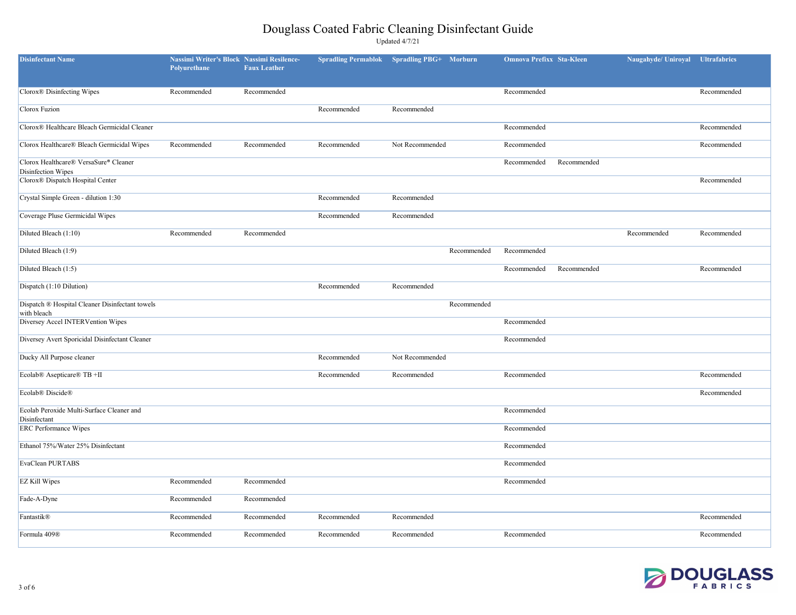

| <b>Disinfectant Name</b>                                       | <b>Nassimi Writer's Block</b><br>Polyurethane | <b>Nassimi Resilence-</b><br><b>Faux Leather</b> | <b>Spradling Permablok</b> | <b>Spradling PBG+</b> | <b>Morburn</b> | <b>Omnova Prefixx Sta-Kleen</b> |             | Naugahyde/ Uniroyal | <b>Ultrafabrics</b> |
|----------------------------------------------------------------|-----------------------------------------------|--------------------------------------------------|----------------------------|-----------------------|----------------|---------------------------------|-------------|---------------------|---------------------|
| Clorox <sup>®</sup> Disinfecting Wipes                         | Recommended                                   | Recommended                                      |                            |                       |                | Recommended                     |             |                     | Recommended         |
| Clorox Fuzion                                                  |                                               |                                                  | Recommended                | Recommended           |                |                                 |             |                     |                     |
| Clorox® Healthcare Bleach Germicidal Cleaner                   |                                               |                                                  |                            |                       |                | Recommended                     |             |                     | Recommended         |
| Clorox Healthcare® Bleach Germicidal Wipes                     | Recommended                                   | Recommended                                      | Recommended                | Not Recommended       |                | Recommended                     |             |                     | Recommended         |
| Clorox Healthcare® VersaSure® Cleaner<br>Disinfection Wipes    |                                               |                                                  |                            |                       |                | Recommended                     | Recommended |                     |                     |
| Clorox® Dispatch Hospital Center                               |                                               |                                                  |                            |                       |                |                                 |             |                     | Recommended         |
| Crystal Simple Green - dilution 1:30                           |                                               |                                                  | Recommended                | Recommended           |                |                                 |             |                     |                     |
| Coverage Pluse Germicidal Wipes                                |                                               |                                                  | Recommended                | Recommended           |                |                                 |             |                     |                     |
| Diluted Bleach (1:10)                                          | Recommended                                   | Recommended                                      |                            |                       |                |                                 |             | Recommended         | Recommended         |
| Diluted Bleach (1:9)                                           |                                               |                                                  |                            |                       | Recommended    | Recommended                     |             |                     |                     |
| Diluted Bleach (1:5)                                           |                                               |                                                  |                            |                       |                | Recommended                     | Recommended |                     | Recommended         |
| Dispatch (1:10 Dilution)                                       |                                               |                                                  | Recommended                | Recommended           |                |                                 |             |                     |                     |
| Dispatch ® Hospital Cleaner Disinfectant towels<br>with bleach |                                               |                                                  |                            |                       | Recommended    |                                 |             |                     |                     |
| Diversey Accel INTERVention Wipes                              |                                               |                                                  |                            |                       |                | Recommended                     |             |                     |                     |
| Diversey Avert Sporicidal Disinfectant Cleaner                 |                                               |                                                  |                            |                       |                | Recommended                     |             |                     |                     |
| Ducky All Purpose cleaner                                      |                                               |                                                  | Recommended                | Not Recommended       |                |                                 |             |                     |                     |
| Ecolab® Asepticare® TB +II                                     |                                               |                                                  | Recommended                | Recommended           |                | Recommended                     |             |                     | Recommended         |
| Ecolab <sup>®</sup> Discide <sup>®</sup>                       |                                               |                                                  |                            |                       |                |                                 |             |                     | Recommended         |
| Ecolab Peroxide Multi-Surface Cleaner and<br>Disinfectant      |                                               |                                                  |                            |                       |                | Recommended                     |             |                     |                     |
| <b>ERC</b> Performance Wipes                                   |                                               |                                                  |                            |                       |                | Recommended                     |             |                     |                     |
| Ethanol 75%/Water 25% Disinfectant                             |                                               |                                                  |                            |                       |                | Recommended                     |             |                     |                     |
| EvaClean PURTABS                                               |                                               |                                                  |                            |                       |                | Recommended                     |             |                     |                     |
| <b>EZ Kill Wipes</b>                                           | Recommended                                   | Recommended                                      |                            |                       |                | Recommended                     |             |                     |                     |
| Fade-A-Dyne                                                    | Recommended                                   | Recommended                                      |                            |                       |                |                                 |             |                     |                     |
| Fantastik®                                                     | Recommended                                   | Recommended                                      | Recommended                | Recommended           |                |                                 |             |                     | Recommended         |
| Formula 409 <sup>®</sup>                                       | Recommended                                   | Recommended                                      | Recommended                | Recommended           |                | Recommended                     |             |                     | Recommended         |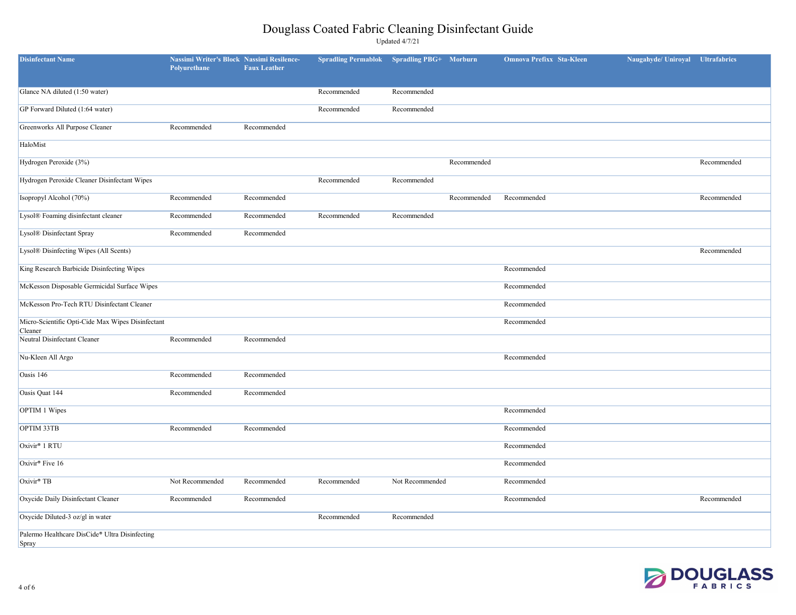

| <b>Disinfectant Name</b>                                     | <b>Nassimi Writer's Block Nassimi Resilence-</b><br>Polyurethane | <b>Faux Leather</b> | <b>Spradling Permablok</b> | <b>Spradling PBG+</b> Morburn |             | <b>Omnova Prefixx Sta-Kleen</b> | Naugahyde/ Uniroyal Ultrafabrics |             |
|--------------------------------------------------------------|------------------------------------------------------------------|---------------------|----------------------------|-------------------------------|-------------|---------------------------------|----------------------------------|-------------|
| Glance NA diluted (1:50 water)                               |                                                                  |                     | Recommended                | Recommended                   |             |                                 |                                  |             |
| GP Forward Diluted (1:64 water)                              |                                                                  |                     | Recommended                | Recommended                   |             |                                 |                                  |             |
| Greenworks All Purpose Cleaner                               | Recommended                                                      | Recommended         |                            |                               |             |                                 |                                  |             |
| HaloMist                                                     |                                                                  |                     |                            |                               |             |                                 |                                  |             |
| Hydrogen Peroxide (3%)                                       |                                                                  |                     |                            |                               | Recommended |                                 |                                  | Recommended |
| Hydrogen Peroxide Cleaner Disinfectant Wipes                 |                                                                  |                     | Recommended                | Recommended                   |             |                                 |                                  |             |
| Isopropyl Alcohol (70%)                                      | Recommended                                                      | Recommended         |                            |                               | Recommended | Recommended                     |                                  | Recommended |
| Lysol® Foaming disinfectant cleaner                          | Recommended                                                      | Recommended         | Recommended                | Recommended                   |             |                                 |                                  |             |
| Lysol® Disinfectant Spray                                    | Recommended                                                      | Recommended         |                            |                               |             |                                 |                                  |             |
| Lysol® Disinfecting Wipes (All Scents)                       |                                                                  |                     |                            |                               |             |                                 |                                  | Recommended |
| King Research Barbicide Disinfecting Wipes                   |                                                                  |                     |                            |                               |             | Recommended                     |                                  |             |
| McKesson Disposable Germicidal Surface Wipes                 |                                                                  |                     |                            |                               |             | Recommended                     |                                  |             |
| McKesson Pro-Tech RTU Disinfectant Cleaner                   |                                                                  |                     |                            |                               |             | Recommended                     |                                  |             |
| Micro-Scientific Opti-Cide Max Wipes Disinfectant<br>Cleaner |                                                                  |                     |                            |                               |             | Recommended                     |                                  |             |
| Neutral Disinfectant Cleaner                                 | Recommended                                                      | Recommended         |                            |                               |             |                                 |                                  |             |
| Nu-Kleen All Argo                                            |                                                                  |                     |                            |                               |             | Recommended                     |                                  |             |
| Oasis $146$                                                  | Recommended                                                      | Recommended         |                            |                               |             |                                 |                                  |             |
| Oasis Quat 144                                               | Recommended                                                      | Recommended         |                            |                               |             |                                 |                                  |             |
| OPTIM 1 Wipes                                                |                                                                  |                     |                            |                               |             | Recommended                     |                                  |             |
| OPTIM 33TB                                                   | Recommended                                                      | Recommended         |                            |                               |             | Recommended                     |                                  |             |
| Oxivir <sup>®</sup> 1 RTU                                    |                                                                  |                     |                            |                               |             | Recommended                     |                                  |             |
| Oxivir <sup>®</sup> Five 16                                  |                                                                  |                     |                            |                               |             | Recommended                     |                                  |             |
| $Oxivir$ <sup>®</sup> TB                                     | Not Recommended                                                  | Recommended         | Recommended                | Not Recommended               |             | Recommended                     |                                  |             |
| Oxycide Daily Disinfectant Cleaner                           | Recommended                                                      | Recommended         |                            |                               |             | Recommended                     |                                  | Recommended |
| Oxycide Diluted-3 oz/gl in water                             |                                                                  |                     | Recommended                | Recommended                   |             |                                 |                                  |             |
| Palermo Healthcare DisCide® Ultra Disinfecting<br>Spray      |                                                                  |                     |                            |                               |             |                                 |                                  |             |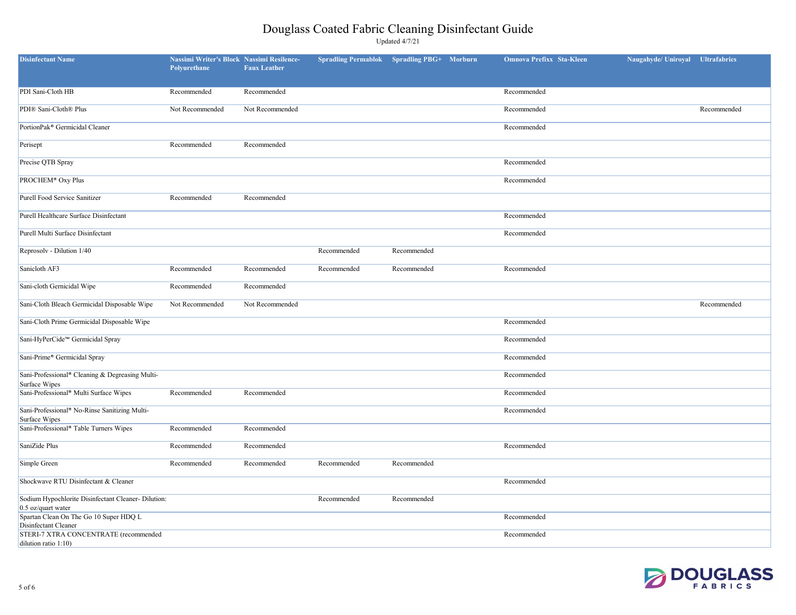| augahyde/ Uniroyal Ultrafabrics |             |
|---------------------------------|-------------|
|                                 |             |
|                                 |             |
|                                 | Recommended |
|                                 |             |
|                                 |             |
|                                 |             |
|                                 |             |
|                                 |             |
|                                 |             |
|                                 |             |
|                                 |             |
|                                 |             |
|                                 |             |
|                                 | Recommended |
|                                 |             |
|                                 |             |
|                                 |             |
|                                 |             |
|                                 |             |
|                                 |             |
|                                 |             |
|                                 |             |
|                                 |             |
|                                 |             |
|                                 |             |
|                                 |             |
|                                 |             |
|                                 |             |



| <b>Disinfectant Name</b>                                                                 | Nassimi Writer's Block Nassimi Resilence-<br>Polyurethane | <b>Faux Leather</b> | <b>Spradling Permablok</b> Spradling PBG+ Morburn |             | <b>Omnova Prefixx Sta-Kleen</b> | Naugahyde/ Uniroyal | <b>Ultrafabrics</b> |
|------------------------------------------------------------------------------------------|-----------------------------------------------------------|---------------------|---------------------------------------------------|-------------|---------------------------------|---------------------|---------------------|
| PDI Sani-Cloth HB                                                                        | Recommended                                               | Recommended         |                                                   |             | Recommended                     |                     |                     |
| PDI® Sani-Cloth® Plus                                                                    | Not Recommended                                           | Not Recommended     |                                                   |             | Recommended                     |                     | Recommended         |
| PortionPak <sup>®</sup> Germicidal Cleaner                                               |                                                           |                     |                                                   |             | Recommended                     |                     |                     |
| Perisept                                                                                 | Recommended                                               | Recommended         |                                                   |             |                                 |                     |                     |
| Precise QTB Spray                                                                        |                                                           |                     |                                                   |             | Recommended                     |                     |                     |
| PROCHEM <sup>®</sup> Oxy Plus                                                            |                                                           |                     |                                                   |             | Recommended                     |                     |                     |
| Purell Food Service Sanitizer                                                            | Recommended                                               | Recommended         |                                                   |             |                                 |                     |                     |
| Purell Healthcare Surface Disinfectant                                                   |                                                           |                     |                                                   |             | Recommended                     |                     |                     |
| Purell Multi Surface Disinfectant                                                        |                                                           |                     |                                                   |             | Recommended                     |                     |                     |
| Reprosolv - Dilution 1/40                                                                |                                                           |                     | Recommended                                       | Recommended |                                 |                     |                     |
| Sanicloth AF3                                                                            | Recommended                                               | Recommended         | Recommended                                       | Recommended | Recommended                     |                     |                     |
| Sani-cloth Gernicidal Wipe                                                               | Recommended                                               | Recommended         |                                                   |             |                                 |                     |                     |
| Sani-Cloth Bleach Germicidal Disposable Wipe                                             | Not Recommended                                           | Not Recommended     |                                                   |             |                                 |                     | Recommended         |
| Sani-Cloth Prime Germicidal Disposable Wipe                                              |                                                           |                     |                                                   |             | Recommended                     |                     |                     |
| Sani-HyPerCide™ Germicidal Spray                                                         |                                                           |                     |                                                   |             | Recommended                     |                     |                     |
| Sani-Prime® Germicidal Spray                                                             |                                                           |                     |                                                   |             | Recommended                     |                     |                     |
| Sani-Professional® Cleaning & Degreasing Multi-                                          |                                                           |                     |                                                   |             | Recommended                     |                     |                     |
| Surface Wipes<br>Sani-Professional <sup>®</sup> Multi Surface Wipes                      | Recommended                                               | Recommended         |                                                   |             | Recommended                     |                     |                     |
| Sani-Professional® No-Rinse Sanitizing Multi-                                            |                                                           |                     |                                                   |             | Recommended                     |                     |                     |
| Surface Wipes<br>Sani-Professional <sup>®</sup> Table Turners Wipes                      | Recommended                                               | Recommended         |                                                   |             |                                 |                     |                     |
| SaniZide Plus                                                                            | Recommended                                               | Recommended         |                                                   |             | Recommended                     |                     |                     |
| Simple Green                                                                             | Recommended                                               | Recommended         | Recommended                                       | Recommended |                                 |                     |                     |
| Shockwave RTU Disinfectant & Cleaner                                                     |                                                           |                     |                                                   |             | Recommended                     |                     |                     |
| Sodium Hypochlorite Disinfectant Cleaner-Dilution:                                       |                                                           |                     | Recommended                                       | Recommended |                                 |                     |                     |
| $0.5$ oz/quart water<br>Spartan Clean On The Go 10 Super HDQ L                           |                                                           |                     |                                                   |             | Recommended                     |                     |                     |
| Disinfectant Cleaner<br>STERI-7 XTRA CONCENTRATE (recommended<br>dilution ratio $1:10$ ) |                                                           |                     |                                                   |             | Recommended                     |                     |                     |